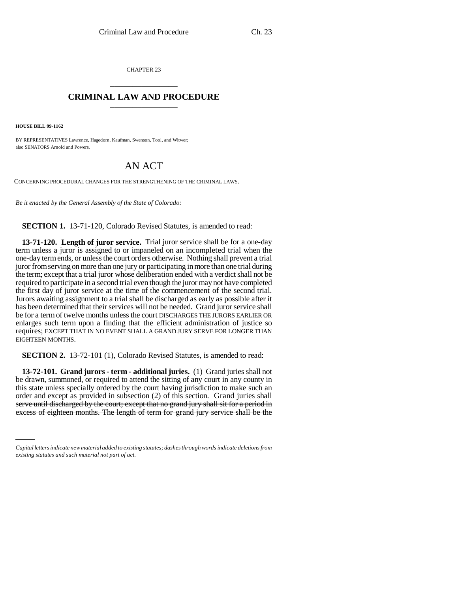CHAPTER 23 \_\_\_\_\_\_\_\_\_\_\_\_\_\_\_

## **CRIMINAL LAW AND PROCEDURE** \_\_\_\_\_\_\_\_\_\_\_\_\_\_\_

**HOUSE BILL 99-1162** 

BY REPRESENTATIVES Lawrence, Hagedorn, Kaufman, Swenson, Tool, and Witwer; also SENATORS Arnold and Powers.

## AN ACT

CONCERNING PROCEDURAL CHANGES FOR THE STRENGTHENING OF THE CRIMINAL LAWS.

*Be it enacted by the General Assembly of the State of Colorado:*

**SECTION 1.** 13-71-120, Colorado Revised Statutes, is amended to read:

**13-71-120. Length of juror service.** Trial juror service shall be for a one-day term unless a juror is assigned to or impaneled on an incompleted trial when the one-day term ends, or unless the court orders otherwise. Nothing shall prevent a trial juror from serving on more than one jury or participating in more than one trial during the term; except that a trial juror whose deliberation ended with a verdict shall not be required to participate in a second trial even though the juror may not have completed the first day of juror service at the time of the commencement of the second trial. Jurors awaiting assignment to a trial shall be discharged as early as possible after it has been determined that their services will not be needed. Grand juror service shall be for a term of twelve months unless the court DISCHARGES THE JURORS EARLIER OR enlarges such term upon a finding that the efficient administration of justice so requires; EXCEPT THAT IN NO EVENT SHALL A GRAND JURY SERVE FOR LONGER THAN EIGHTEEN MONTHS.

**SECTION 2.** 13-72-101 (1), Colorado Revised Statutes, is amended to read:

serve until discharged by the court; except that no grand jury shall sit for a period in serve until discharged by the court; except that no grand jury shall sit for a period in **13-72-101. Grand jurors - term - additional juries.** (1) Grand juries shall not be drawn, summoned, or required to attend the sitting of any court in any county in this state unless specially ordered by the court having jurisdiction to make such an order and except as provided in subsection (2) of this section. Grand juries shall excess of eighteen months. The length of term for grand jury service shall be the

*Capital letters indicate new material added to existing statutes; dashes through words indicate deletions from existing statutes and such material not part of act.*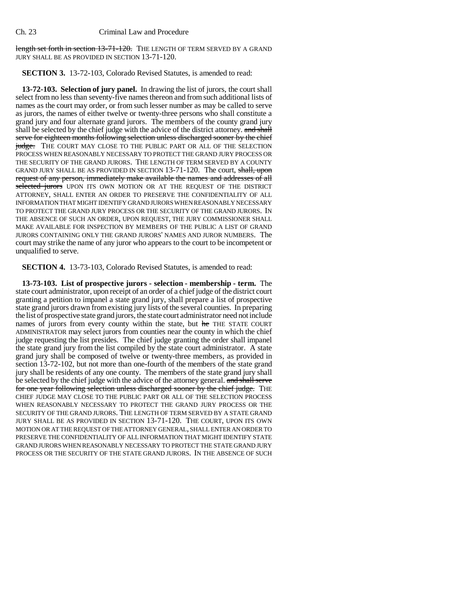length set forth in section 13-71-120. THE LENGTH OF TERM SERVED BY A GRAND JURY SHALL BE AS PROVIDED IN SECTION 13-71-120.

**SECTION 3.** 13-72-103, Colorado Revised Statutes, is amended to read:

**13-72-103. Selection of jury panel.** In drawing the list of jurors, the court shall select from no less than seventy-five names thereon and from such additional lists of names as the court may order, or from such lesser number as may be called to serve as jurors, the names of either twelve or twenty-three persons who shall constitute a grand jury and four alternate grand jurors. The members of the county grand jury shall be selected by the chief judge with the advice of the district attorney. and shall serve for eighteen months following selection unless discharged sooner by the chief judge. THE COURT MAY CLOSE TO THE PUBLIC PART OR ALL OF THE SELECTION PROCESS WHEN REASONABLY NECESSARY TO PROTECT THE GRAND JURY PROCESS OR THE SECURITY OF THE GRAND JURORS. THE LENGTH OF TERM SERVED BY A COUNTY GRAND JURY SHALL BE AS PROVIDED IN SECTION 13-71-120. The court, shall, upon request of any person, immediately make available the names and addresses of all selected jurors UPON ITS OWN MOTION OR AT THE REQUEST OF THE DISTRICT ATTORNEY, SHALL ENTER AN ORDER TO PRESERVE THE CONFIDENTIALITY OF ALL INFORMATION THAT MIGHT IDENTIFY GRAND JURORS WHEN REASONABLY NECESSARY TO PROTECT THE GRAND JURY PROCESS OR THE SECURITY OF THE GRAND JURORS. IN THE ABSENCE OF SUCH AN ORDER, UPON REQUEST, THE JURY COMMISSIONER SHALL MAKE AVAILABLE FOR INSPECTION BY MEMBERS OF THE PUBLIC A LIST OF GRAND JURORS CONTAINING ONLY THE GRAND JURORS' NAMES AND JUROR NUMBERS. The court may strike the name of any juror who appears to the court to be incompetent or unqualified to serve.

**SECTION 4.** 13-73-103, Colorado Revised Statutes, is amended to read:

**13-73-103. List of prospective jurors - selection - membership - term.** The state court administrator, upon receipt of an order of a chief judge of the district court granting a petition to impanel a state grand jury, shall prepare a list of prospective state grand jurors drawn from existing jury lists of the several counties. In preparing the list of prospective state grand jurors, the state court administrator need not include names of jurors from every county within the state, but he THE STATE COURT ADMINISTRATOR may select jurors from counties near the county in which the chief judge requesting the list presides. The chief judge granting the order shall impanel the state grand jury from the list compiled by the state court administrator. A state grand jury shall be composed of twelve or twenty-three members, as provided in section 13-72-102, but not more than one-fourth of the members of the state grand jury shall be residents of any one county. The members of the state grand jury shall be selected by the chief judge with the advice of the attorney general. and shall serve for one year following selection unless discharged sooner by the chief judge. THE CHIEF JUDGE MAY CLOSE TO THE PUBLIC PART OR ALL OF THE SELECTION PROCESS WHEN REASONABLY NECESSARY TO PROTECT THE GRAND JURY PROCESS OR THE SECURITY OF THE GRAND JURORS. THE LENGTH OF TERM SERVED BY A STATE GRAND JURY SHALL BE AS PROVIDED IN SECTION 13-71-120. THE COURT, UPON ITS OWN MOTION OR AT THE REQUEST OF THE ATTORNEY GENERAL, SHALL ENTER AN ORDER TO PRESERVE THE CONFIDENTIALITY OF ALL INFORMATION THAT MIGHT IDENTIFY STATE GRAND JURORS WHEN REASONABLY NECESSARY TO PROTECT THE STATE GRAND JURY PROCESS OR THE SECURITY OF THE STATE GRAND JURORS. IN THE ABSENCE OF SUCH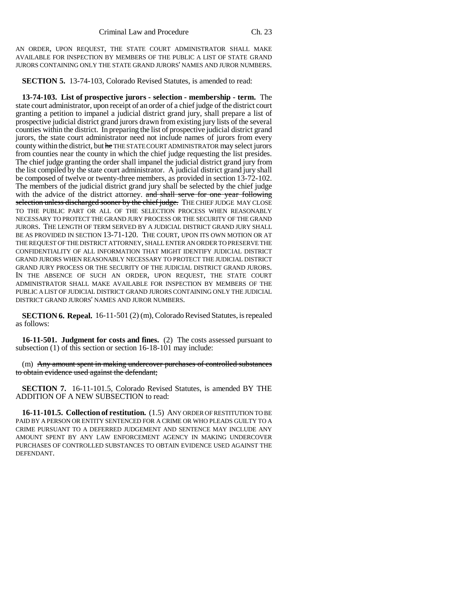AN ORDER, UPON REQUEST, THE STATE COURT ADMINISTRATOR SHALL MAKE AVAILABLE FOR INSPECTION BY MEMBERS OF THE PUBLIC A LIST OF STATE GRAND JURORS CONTAINING ONLY THE STATE GRAND JURORS' NAMES AND JUROR NUMBERS.

**SECTION 5.** 13-74-103, Colorado Revised Statutes, is amended to read:

**13-74-103. List of prospective jurors - selection - membership - term.** The state court administrator, upon receipt of an order of a chief judge of the district court granting a petition to impanel a judicial district grand jury, shall prepare a list of prospective judicial district grand jurors drawn from existing jury lists of the several counties within the district. In preparing the list of prospective judicial district grand jurors, the state court administrator need not include names of jurors from every county within the district, but he THE STATE COURT ADMINISTRATOR may select jurors from counties near the county in which the chief judge requesting the list presides. The chief judge granting the order shall impanel the judicial district grand jury from the list compiled by the state court administrator. A judicial district grand jury shall be composed of twelve or twenty-three members, as provided in section 13-72-102. The members of the judicial district grand jury shall be selected by the chief judge with the advice of the district attorney. and shall serve for one year following selection unless discharged sooner by the chief judge. THE CHIEF JUDGE MAY CLOSE TO THE PUBLIC PART OR ALL OF THE SELECTION PROCESS WHEN REASONABLY NECESSARY TO PROTECT THE GRAND JURY PROCESS OR THE SECURITY OF THE GRAND JURORS. THE LENGTH OF TERM SERVED BY A JUDICIAL DISTRICT GRAND JURY SHALL BE AS PROVIDED IN SECTION 13-71-120. THE COURT, UPON ITS OWN MOTION OR AT THE REQUEST OF THE DISTRICT ATTORNEY, SHALL ENTER AN ORDER TO PRESERVE THE CONFIDENTIALITY OF ALL INFORMATION THAT MIGHT IDENTIFY JUDICIAL DISTRICT GRAND JURORS WHEN REASONABLY NECESSARY TO PROTECT THE JUDICIAL DISTRICT GRAND JURY PROCESS OR THE SECURITY OF THE JUDICIAL DISTRICT GRAND JURORS. IN THE ABSENCE OF SUCH AN ORDER, UPON REQUEST, THE STATE COURT ADMINISTRATOR SHALL MAKE AVAILABLE FOR INSPECTION BY MEMBERS OF THE PUBLIC A LIST OF JUDICIAL DISTRICT GRAND JURORS CONTAINING ONLY THE JUDICIAL DISTRICT GRAND JURORS' NAMES AND JUROR NUMBERS.

**SECTION 6. Repeal.** 16-11-501 (2) (m), Colorado Revised Statutes, is repealed as follows:

**16-11-501. Judgment for costs and fines.** (2) The costs assessed pursuant to subsection (1) of this section or section 16-18-101 may include:

(m) Any amount spent in making undercover purchases of controlled substances to obtain evidence used against the defendant;

**SECTION 7.** 16-11-101.5, Colorado Revised Statutes, is amended BY THE ADDITION OF A NEW SUBSECTION to read:

**16-11-101.5. Collection of restitution.** (1.5) ANY ORDER OF RESTITUTION TO BE PAID BY A PERSON OR ENTITY SENTENCED FOR A CRIME OR WHO PLEADS GUILTY TO A CRIME PURSUANT TO A DEFERRED JUDGEMENT AND SENTENCE MAY INCLUDE ANY AMOUNT SPENT BY ANY LAW ENFORCEMENT AGENCY IN MAKING UNDERCOVER PURCHASES OF CONTROLLED SUBSTANCES TO OBTAIN EVIDENCE USED AGAINST THE DEFENDANT.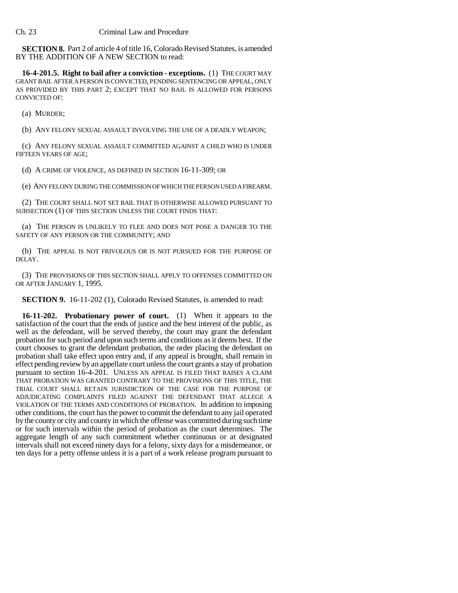**SECTION 8.** Part 2 of article 4 of title 16, Colorado Revised Statutes, is amended BY THE ADDITION OF A NEW SECTION to read:

**16-4-201.5. Right to bail after a conviction - exceptions.** (1) THE COURT MAY GRANT BAIL AFTER A PERSON IS CONVICTED, PENDING SENTENCING OR APPEAL, ONLY AS PROVIDED BY THIS PART 2; EXCEPT THAT NO BAIL IS ALLOWED FOR PERSONS CONVICTED OF:

(a) MURDER;

(b) ANY FELONY SEXUAL ASSAULT INVOLVING THE USE OF A DEADLY WEAPON;

(c) ANY FELONY SEXUAL ASSAULT COMMITTED AGAINST A CHILD WHO IS UNDER FIFTEEN YEARS OF AGE;

(d) A CRIME OF VIOLENCE, AS DEFINED IN SECTION 16-11-309; OR

(e) ANY FELONY DURING THE COMMISSION OF WHICH THE PERSON USED A FIREARM.

(2) THE COURT SHALL NOT SET BAIL THAT IS OTHERWISE ALLOWED PURSUANT TO SUBSECTION (1) OF THIS SECTION UNLESS THE COURT FINDS THAT:

(a) THE PERSON IS UNLIKELY TO FLEE AND DOES NOT POSE A DANGER TO THE SAFETY OF ANY PERSON OR THE COMMUNITY; AND

(b) THE APPEAL IS NOT FRIVOLOUS OR IS NOT PURSUED FOR THE PURPOSE OF DELAY.

(3) THE PROVISIONS OF THIS SECTION SHALL APPLY TO OFFENSES COMMITTED ON OR AFTER JANUARY 1, 1995.

**SECTION 9.** 16-11-202 (1), Colorado Revised Statutes, is amended to read:

**16-11-202. Probationary power of court.** (1) When it appears to the satisfaction of the court that the ends of justice and the best interest of the public, as well as the defendant, will be served thereby, the court may grant the defendant probation for such period and upon such terms and conditions as it deems best. If the court chooses to grant the defendant probation, the order placing the defendant on probation shall take effect upon entry and, if any appeal is brought, shall remain in effect pending review by an appellate court unless the court grants a stay of probation pursuant to section 16-4-201. UNLESS AN APPEAL IS FILED THAT RAISES A CLAIM THAT PROBATION WAS GRANTED CONTRARY TO THE PROVISIONS OF THIS TITLE, THE TRIAL COURT SHALL RETAIN JURISDICTION OF THE CASE FOR THE PURPOSE OF ADJUDICATING COMPLAINTS FILED AGAINST THE DEFENDANT THAT ALLEGE A VIOLATION OF THE TERMS AND CONDITIONS OF PROBATION. In addition to imposing other conditions, the court has the power to commit the defendant to any jail operated by the county or city and county in which the offense was committed during such time or for such intervals within the period of probation as the court determines. The aggregate length of any such commitment whether continuous or at designated intervals shall not exceed ninety days for a felony, sixty days for a misdemeanor, or ten days for a petty offense unless it is a part of a work release program pursuant to